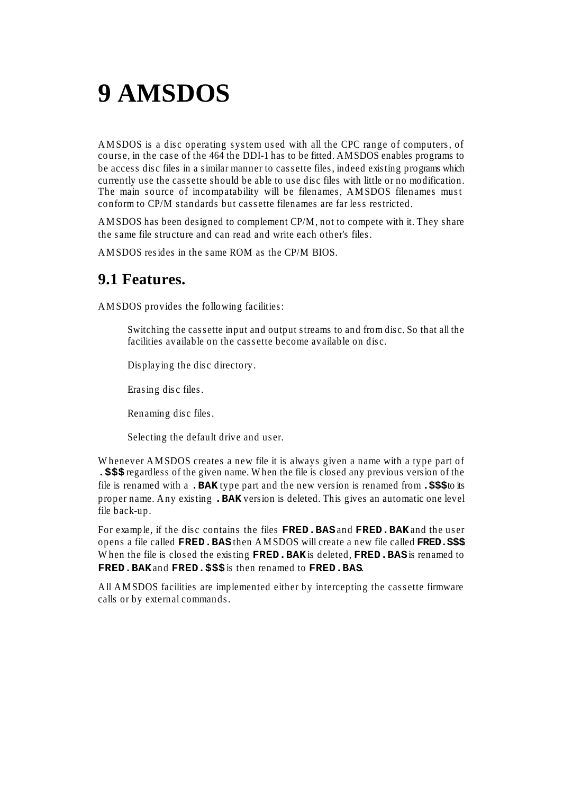# **9 AMSDOS**

AMSDOS is a disc operating system used with all the CPC range of computers, of course, in the case of the 464 the DDI-1 has to be fitted. AMSDOS enables programs to be access disc files in a similar manner to cassette files, indeed existing programs which currently use the cassette should be able to use disc files with little or no modification. The main source of incompatability will be filenames, AMSDOS filenames must conform to CP/M standards but cassette filenames are far less restricted.

AMSDOS has been designed to complement CP/M, not to compete with it. They share the same file structure and can read and write each other's files.

AMSDOS resides in the same ROM as the CP/M BIOS.

## **9.1 Features.**

AMSDOS provides the following facilities:

Switching the cassette input and output streams to and from disc. So that all the facilities available on the cassette become available on disc.

Displaying the disc directory.

Erasing disc files.

Renaming disc files.

Selecting the default drive and user.

Whenever AMSDOS creates a new file it is always given a name with a type part of **.\$\$\$** regardless of the given name. When the file is closed any previous version of the file is renamed with a **.BAK** type part and the new version is renamed from **.\$\$\$** to its proper name. Any existing **.BAK** version is deleted. This gives an automatic one level file back-up.

For example, if the disc contains the files **FRED.BAS** and **FRED.BAK** and the user opens a file called **FRED.BAS** then AMSDOS will create a new file called **FRED.\$\$\$**. When the file is closed the existing **FRED.BAK** is deleted, **FRED.BAS** is renamed to **FRED.BAK** and **FRED.\$\$\$** is then renamed to **FRED.BAS**.

All AMSDOS facilities are implemented either by intercepting the cassette firmware calls or by external commands.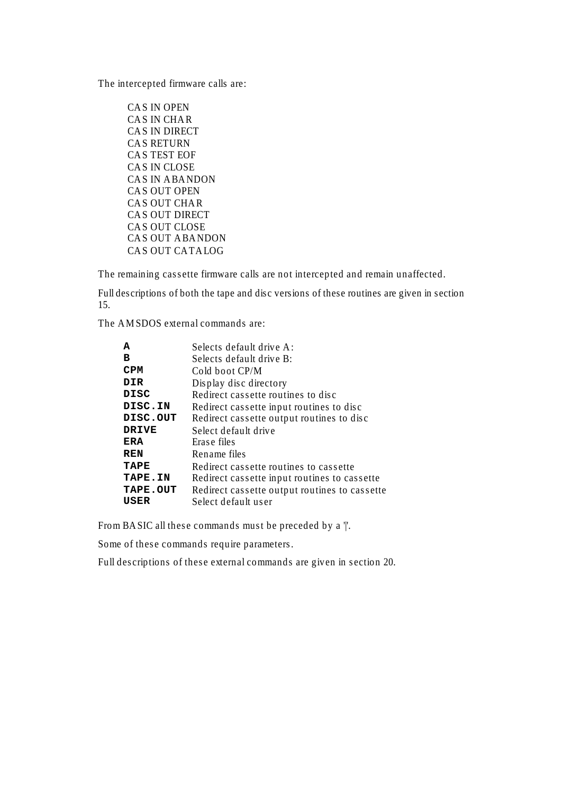The intercepted firmware calls are:

CAS IN OPEN CAS IN CHAR CAS IN DIRECT CAS RETURN CAS TEST EOF CAS IN CLOSE CAS IN ABANDON CAS OUT OPEN CAS OUT CHAR CAS OUT DIRECT CAS OUT CLOSE CAS OUT ABANDON CAS OUT CATALOG

The remaining cassette firmware calls are not intercepted and remain unaffected.

Full descriptions of both the tape and disc versions of these routines are given in section 15.

The AMSDOS external commands are:

| A              | Selects default drive A:                      |
|----------------|-----------------------------------------------|
| в              | Selects default drive B:                      |
| <b>CPM</b>     | Cold boot CP/M                                |
| DIR            | Display disc directory                        |
| DISC           | Redirect cassette routines to disc            |
| DISC.IN        | Redirect cassette input routines to disc      |
| DISC.OUT       | Redirect cassette output routines to disc     |
| <b>DRIVE</b>   | Select default drive                          |
| ERA            | Erase files                                   |
| REN            | Rename files                                  |
| <b>TAPE</b>    | Redirect cassette routines to cassette        |
| <b>TAPE.IN</b> | Redirect cassette input routines to cassette  |
| TAPE.OUT       | Redirect cassette output routines to cassette |
| USER           | Select default user                           |

From BASIC all these commands must be preceded by a '|'.

Some of these commands require parameters.

Full descriptions of these external commands are given in section 20.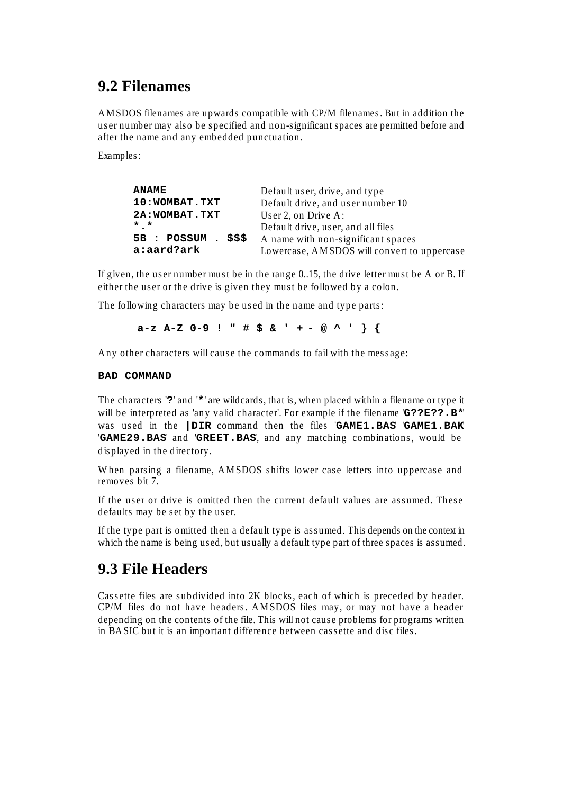## **9.2 Filenames**

AMSDOS filenames are upwards compatible with CP/M filenames. But in addition the user number may also be specified and non-significant spaces are permitted before and after the name and any embedded punctuation.

Examples:

| <b>ANAME</b>           | Default user, drive, and type               |
|------------------------|---------------------------------------------|
| 10: WOMBAT. TXT        | Default drive, and user number 10           |
| 2A: WOMBAT. TXT        | User 2, on Drive $A$ :                      |
| $*$ , $*$              | Default drive, user, and all files          |
| $5B$ : POSSUM . \$\$\$ | A name with non-significant spaces          |
| a:aard?ark             | Lowercase, AMSDOS will convert to uppercase |

If given, the user number must be in the range 0..15, the drive letter must be A or B. If either the user or the drive is given they must be followed by a colon.

The following characters may be used in the name and type parts:

**a-z A-Z 0-9 ! " # \$ & ' + - @ ^ ' } {**

Any other characters will cause the commands to fail with the message:

#### **BAD COMMAND**

The characters '**?**' and '**\***' are wildcards, that is, when placed within a filename or type it will be interpreted as 'any valid character'. For example if the filename '**G??E??.B\***' was used in the **|DIR** command then the files '**GAME1.BAS**' '**GAME1.BAK**' '**GAME29.BAS**' and '**GREET.BAS**', and any matching combinations, would be displayed in the directory.

When parsing a filename, AMSDOS shifts lower case letters into uppercase and removes bit 7.

If the user or drive is omitted then the current default values are assumed. These defaults may be set by the user.

If the type part is omitted then a default type is assumed. This depends on the context in which the name is being used, but usually a default type part of three spaces is assumed.

## **9.3 File Headers**

Cassette files are subdivided into 2K blocks, each of which is preceded by header. CP/M files do not have headers. AMSDOS files may, or may not have a header depending on the contents of the file. This will not cause problems for programs written in BASIC but it is an important difference between cassette and disc files.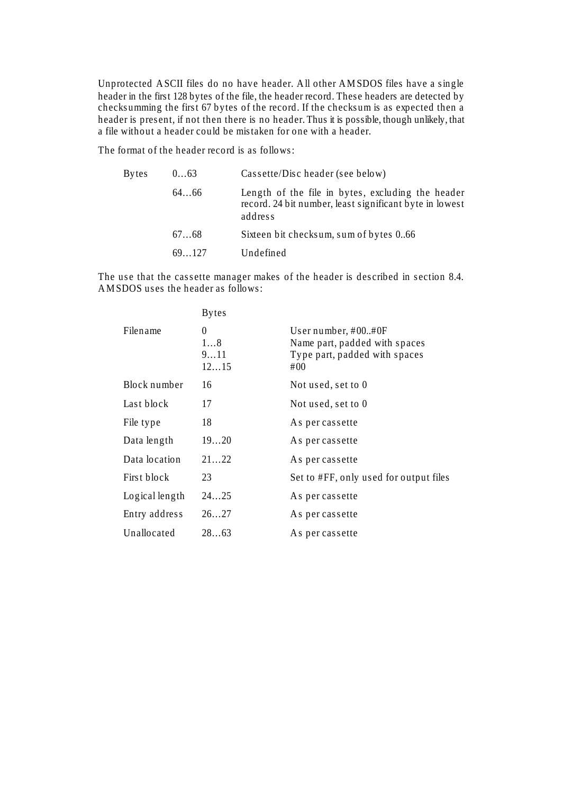Unprotected ASCII files do no have header. All other AMSDOS files have a single header in the first 128 bytes of the file, the header record. These headers are detected by checksumming the first 67 bytes of the record. If the checksum is as expected then a header is present, if not then there is no header. Thus it is possible, though unlikely, that a file without a header could be mistaken for one with a header.

The format of the header record is as follows:

| <b>Bytes</b> | 063   | Cassette/Disc header (see below)                                                                                        |
|--------------|-------|-------------------------------------------------------------------------------------------------------------------------|
|              | 6466  | Length of the file in bytes, excluding the header<br>record. 24 bit number, least significant byte in lowest<br>address |
|              | 6768  | Sixteen bit checksum, sum of bytes 066                                                                                  |
|              | 69127 | Undefined                                                                                                               |

The use that the cassette manager makes of the header is described in section 8.4. AMSDOS uses the header as follows:

|                | <b>Bytes</b>           |                                                                                                                    |
|----------------|------------------------|--------------------------------------------------------------------------------------------------------------------|
| Filename       | 0<br>18<br>911<br>1215 | User number, $\text{\#}00.\text{\#}0F$<br>Name part, padded with spaces<br>Type part, padded with spaces<br>$\#00$ |
| Block number   | 16                     | Not used, set to 0                                                                                                 |
| Last block     | 17                     | Not used, set to 0                                                                                                 |
| File type      | 18                     | As per cassette                                                                                                    |
| Data length    | 1920                   | As per cassette                                                                                                    |
| Data location  | 2122                   | As per cassette                                                                                                    |
| First block    | 23                     | Set to #FF, only used for output files                                                                             |
| Logical length | 2425                   | As per cassette                                                                                                    |
| Entry address  | 2627                   | As per cassette                                                                                                    |
| Unallocated    | 2863                   | As per cassette                                                                                                    |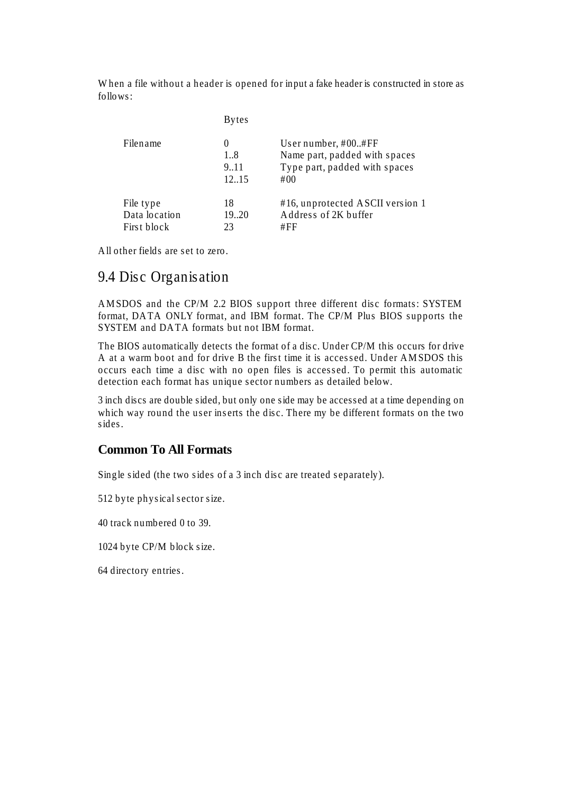When a file without a header is opened for input a fake header is constructed in store as follows:

|                                           | <b>Bytes</b>                  |                                                                                                        |
|-------------------------------------------|-------------------------------|--------------------------------------------------------------------------------------------------------|
| Filename                                  | $_{0}$<br>18<br>9.11<br>12.15 | User number, $\#00$ $\#FF$<br>Name part, padded with spaces<br>Type part, padded with spaces<br>$\#00$ |
| File type<br>Data location<br>First block | 18<br>19.20<br>つつ             | #16, unprotected ASCII version 1<br>Address of 2K buffer<br># $FF$                                     |

All other fields are set to zero.

## 9.4 Disc Organisation

AMSDOS and the CP/M 2.2 BIOS support three different disc formats: SYSTEM format, DATA ONLY format, and IBM format. The CP/M Plus BIOS supports the SYSTEM and DATA formats but not IBM format.

The BIOS automatically detects the format of a disc. Under CP/M this occurs for drive A at a warm boot and for drive B the first time it is accessed. Under AMSDOS this occurs each time a disc with no open files is accessed. To permit this automatic detection each format has unique sector numbers as detailed below.

3 inch discs are double sided, but only one side may be accessed at a time depending on which way round the user inserts the disc. There my be different formats on the two sides.

#### **Common To All Formats**

Single sided (the two sides of a 3 inch disc are treated separately).

512 byte physical sector size.

40 track numbered 0 to 39.

1024 byte CP/M block size.

64 directory entries.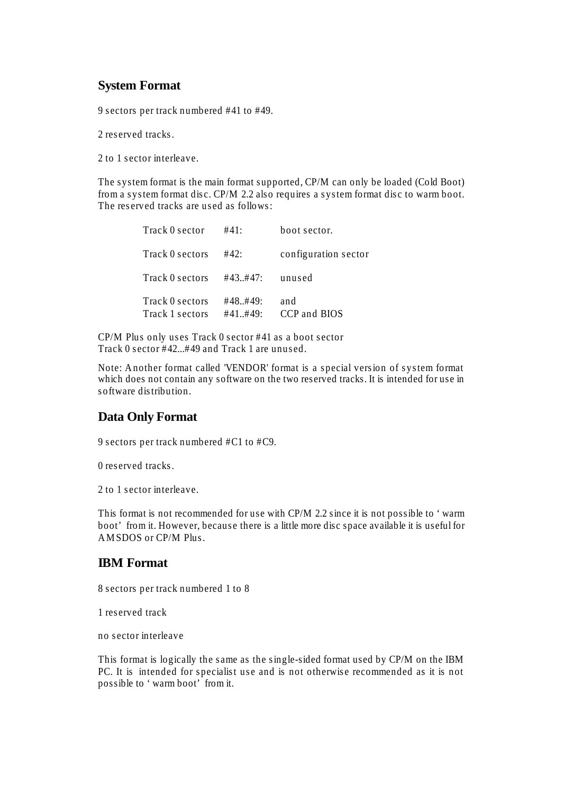#### **System Format**

9 sectors per track numbered #41 to #49.

2 reserved tracks.

2 to 1 sector interleave.

The system format is the main format supported, CP/M can only be loaded (Cold Boot) from a system format disc. CP/M 2.2 also requires a system format disc to warm boot. The reserved tracks are used as follows:

| Track 0 sector                     | #41:                | hoot sector.         |
|------------------------------------|---------------------|----------------------|
| Track 0 sectors                    | #42:                | configuration sector |
| Track 0 sectors                    | #43#47:             | unused               |
| Track 0 sectors<br>Track 1 sectors | #48.#49:<br>#41#49: | and<br>CCP and BIOS  |

CP/M Plus only uses Track 0 sector #41 as a boot sector Track 0 sector #42...#49 and Track 1 are unused.

Note: Another format called 'VENDOR' format is a special version of system format which does not contain any software on the two reserved tracks. It is intended for use in software distribution.

#### **Data Only Format**

9 sectors per track numbered #C1 to #C9.

0 reserved tracks.

2 to 1 sector interleave.

This format is not recommended for use with CP/M 2.2 since it is not possible to 'warm boot' from it. However, because there is a little more disc space available it is useful for AMSDOS or CP/M Plus.

#### **IBM Format**

8 sectors per track numbered 1 to 8

1 reserved track

no sector interleave

This format is logically the same as the single-sided format used by CP/M on the IBM PC. It is intended for specialist use and is not otherwise recommended as it is not possible to 'warm boot' from it.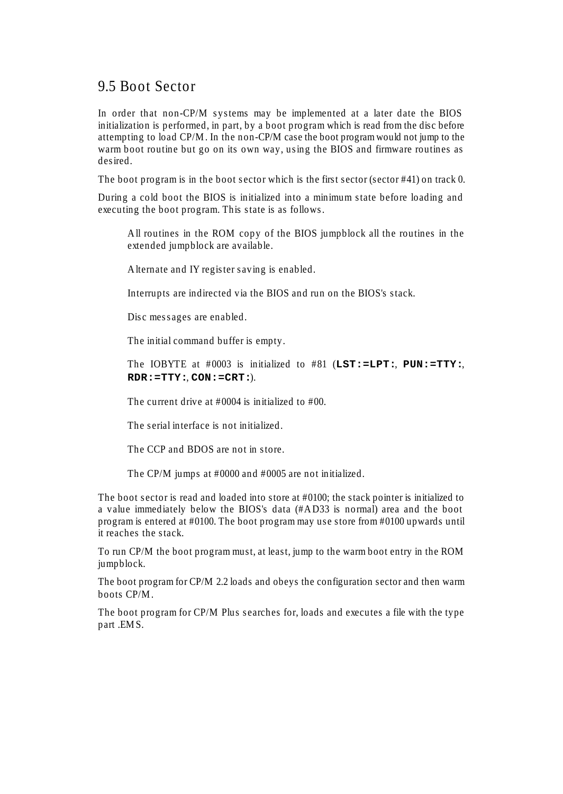## 9.5 Boot Sector

In order that non-CP/M systems may be implemented at a later date the BIOS initialization is performed, in part, by a boot program which is read from the disc before attempting to load CP/M. In the non-CP/M case the boot program would not jump to the warm boot routine but go on its own way, using the BIOS and firmware routines as desired.

The boot program is in the boot sector which is the first sector (sector #41) on track 0.

During a cold boot the BIOS is initialized into a minimum state before loading and executing the boot program. This state is as follows.

All routines in the ROM copy of the BIOS jumpblock all the routines in the extended jumpblock are available.

Alternate and IY register saving is enabled.

Interrupts are indirected via the BIOS and run on the BIOS's stack.

Disc messages are enabled.

The initial command buffer is empty.

The IOBYTE at #0003 is initialized to #81 (**LST:=LPT:**, **PUN:=TTY:**, **RDR:=TTY:**, **CON:=CRT:**).

The current drive at #0004 is initialized to #00.

The serial interface is not initialized.

The CCP and BDOS are not in store.

The CP/M jumps at #0000 and #0005 are not initialized.

The boot sector is read and loaded into store at #0100; the stack pointer is initialized to a value immediately below the BIOS's data (#AD33 is normal) area and the boot program is entered at #0100. The boot program may use store from #0100 upwards until it reaches the stack.

To run CP/M the boot program must, at least, jump to the warm boot entry in the ROM jumpblock.

The boot program for CP/M 2.2 loads and obeys the configuration sector and then warm boots CP/M.

The boot program for CP/M Plus searches for, loads and executes a file with the type part .EMS.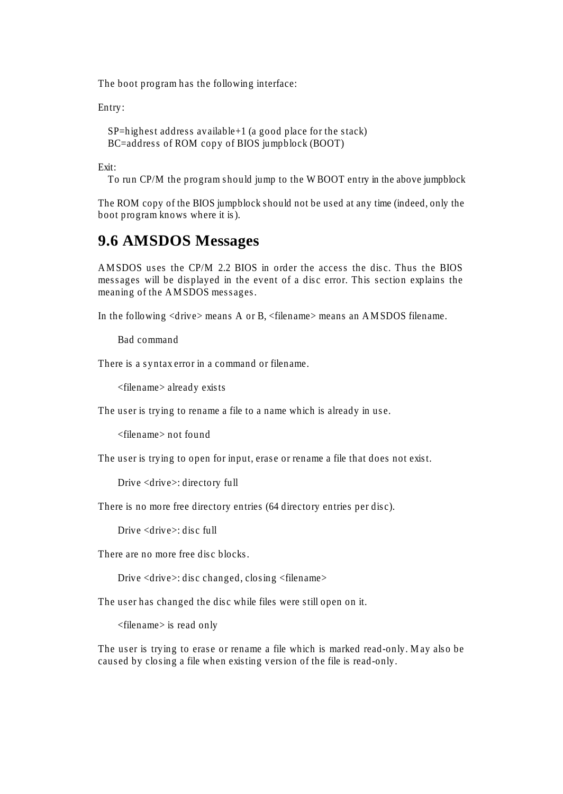The boot program has the following interface:

Entry:

SP=highest address available+1 (a good place for the stack) BC=address of ROM copy of BIOS jumpblock (BOOT)

Exit:

To run CP/M the program should jump to the WBOOT entry in the above jumpblock

The ROM copy of the BIOS jumpblock should not be used at any time (indeed, only the boot program knows where it is).

## **9.6 AMSDOS Messages**

AMSDOS uses the CP/M 2.2 BIOS in order the access the disc. Thus the BIOS messages will be displayed in the event of a disc error. This section explains the meaning of the AMSDOS messages.

In the following <drive> means A or B, <filename> means an AMSDOS filename.

Bad command

There is a syntax error in a command or filename.

<filename> already exists

The user is trying to rename a file to a name which is already in use.

<filename> not found

The user is trying to open for input, erase or rename a file that does not exist.

Drive <drive>: directory full

There is no more free directory entries (64 directory entries per disc).

Drive <drive>: disc full

There are no more free disc blocks.

Drive <drive>: disc changed, closing <filename>

The user has changed the disc while files were still open on it.

<filename> is read only

The user is trying to erase or rename a file which is marked read-only. May also be caused by closing a file when existing version of the file is read-only.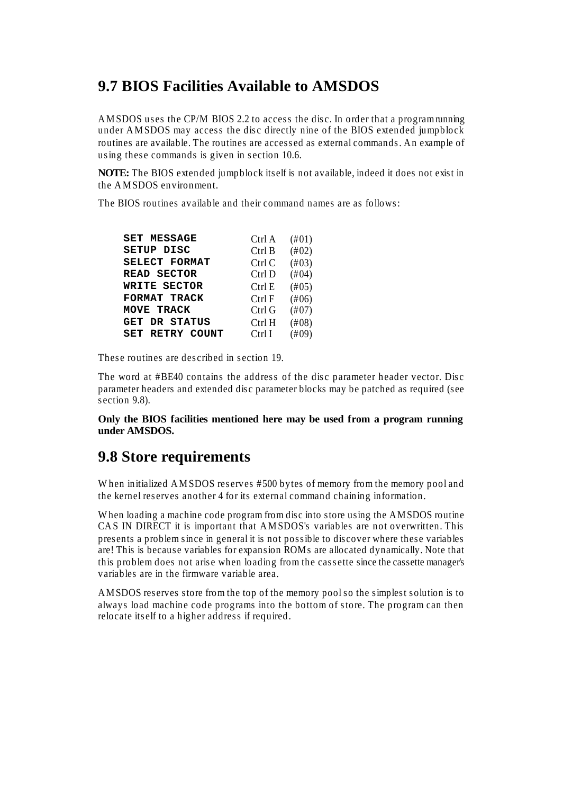## **9.7 BIOS Facilities Available to AMSDOS**

AMSDOS uses the CP/M BIOS 2.2 to access the disc. In order that a program running under AMSDOS may access the disc directly nine of the BIOS extended jumpblock routines are available. The routines are accessed as external commands. An example of using these commands is given in section 10.6.

**NOTE:** The BIOS extended jumpblock itself is not available, indeed it does not exist in the AMSDOS environment.

The BIOS routines available and their command names are as follows:

| <b>SET MESSAGE</b>     | Ctrl A | $(\#01)$ |
|------------------------|--------|----------|
| <b>SETUP DISC</b>      | Ctrl B | $(\#02)$ |
| SELECT FORMAT          | Ctrl C | $(\#03)$ |
| <b>READ SECTOR</b>     | Ctrl D | $(\#04)$ |
| WRITE SECTOR           | Ctrl E | $(\#05)$ |
| FORMAT TRACK           | Ctrl F | (#06)    |
| MOVE TRACK             | Ctrl G | $(\#07)$ |
| GET DR STATUS          | Ctrl H | (#08)    |
| <b>SET RETRY COUNT</b> | Ctrl I | $(\#09)$ |

These routines are described in section 19.

The word at #BE40 contains the address of the disc parameter header vector. Disc parameter headers and extended disc parameter blocks may be patched as required (see section 9.8).

**Only the BIOS facilities mentioned here may be used from a program running under AMSDOS.**

## **9.8 Store requirements**

When initialized AMSDOS reserves #500 bytes of memory from the memory pool and the kernel reserves another 4 for its external command chaining information.

When loading a machine code program from disc into store using the AMSDOS routine CAS IN DIRECT it is important that AMSDOS's variables are not overwritten. This presents a problem since in general it is not possible to discover where these variables are! This is because variables for expansion ROMs are allocated dynamically. Note that this problem does not arise when loading from the cassette since the cassette manager's variables are in the firmware variable area.

AMSDOS reserves store from the top of the memory pool so the simplest solution is to always load machine code programs into the bottom of store. The program can then relocate itself to a higher address if required.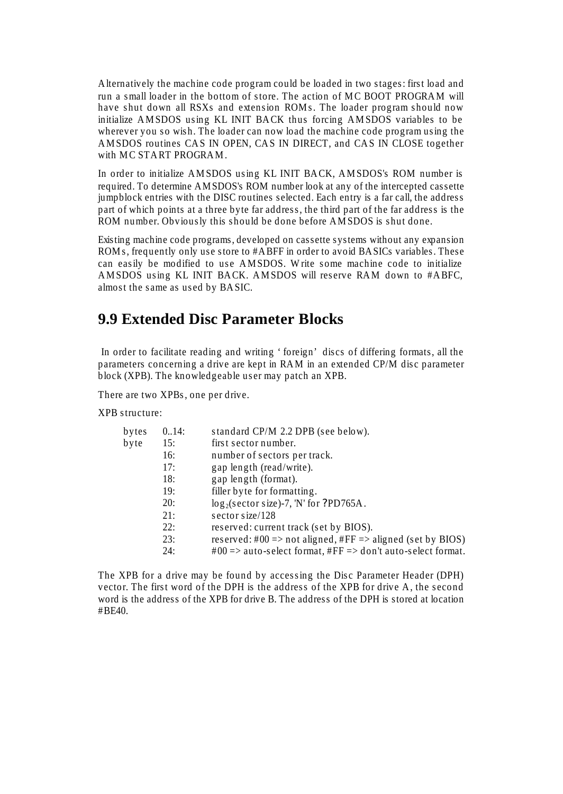Alternatively the machine code program could be loaded in two stages: first load and run a small loader in the bottom of store. The action of MC BOOT PROGRAM will have shut down all RSXs and extension ROMs. The loader program should now initialize AMSDOS using KL INIT BACK thus forcing AMSDOS variables to be wherever you so wish. The loader can now load the machine code program using the AMSDOS routines CAS IN OPEN, CAS IN DIRECT, and CAS IN CLOSE together with MC START PROGRAM.

In order to initialize AMSDOS using KL INIT BACK, AMSDOS's ROM number is required. To determine AMSDOS's ROM number look at any of the intercepted cassette jumpblock entries with the DISC routines selected. Each entry is a far call, the address part of which points at a three byte far address, the third part of the far address is the ROM number. Obviously this should be done before AMSDOS is shut done.

Existing machine code programs, developed on cassette systems without any expansion ROMs, frequently only use store to #ABFF in order to avoid BASICs variables. These can easily be modified to use AMSDOS. Write some machine code to initialize AMSDOS using KL INIT BACK. AMSDOS will reserve RAM down to #ABFC, almost the same as used by BASIC.

## **9.9 Extended Disc Parameter Blocks**

 In order to facilitate reading and writing 'foreign' discs of differing formats, all the parameters concerning a drive are kept in RAM in an extended CP/M disc parameter block (XPB). The knowledgeable user may patch an XPB.

There are two XPBs, one per drive.

XPB structure:

| bytes | 0.14: | standard CP/M 2.2 DPB (see below).                                                                |
|-------|-------|---------------------------------------------------------------------------------------------------|
| byte  | 15:   | first sector number.                                                                              |
|       | 16:   | number of sectors per track.                                                                      |
|       | 17:   | gap length (read/write).                                                                          |
|       | 18:   | gap length (format).                                                                              |
|       | 19:   | filler byte for formatting.                                                                       |
|       | 20:   | $log_2$ (sector size)-7, 'N' for ?PD765A.                                                         |
|       | 21:   | sector size/ $128$                                                                                |
|       | 22:   | reserved: current track (set by BIOS).                                                            |
|       | 23:   | reserved: #00 => not aligned, #FF => aligned (set by BIOS)                                        |
|       | 24:   | $\text{\#00} \Rightarrow$ auto-select format, $\text{\#FF} \Rightarrow$ don't auto-select format. |
|       |       |                                                                                                   |

The XPB for a drive may be found by accessing the Disc Parameter Header (DPH) vector. The first word of the DPH is the address of the XPB for drive A, the second word is the address of the XPB for drive B. The address of the DPH is stored at location #BE40.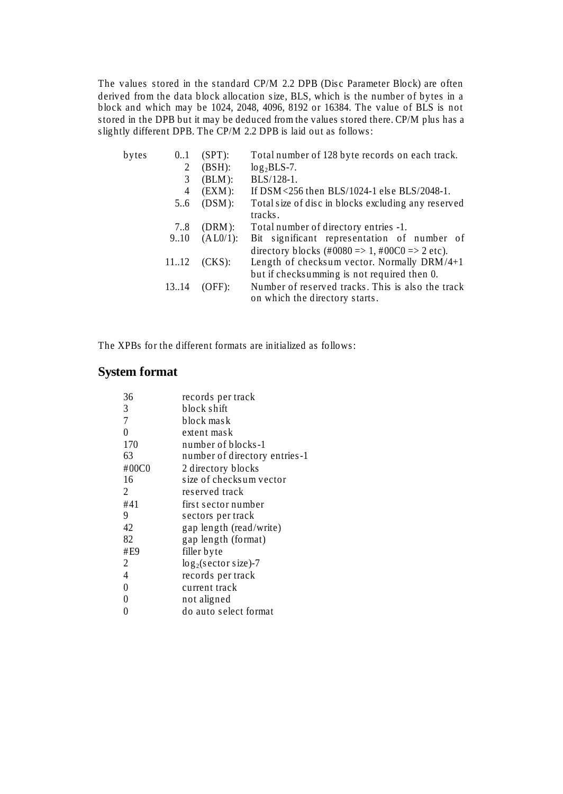The values stored in the standard CP/M 2.2 DPB (Disc Parameter Block) are often derived from the data block allocation size, BLS, which is the number of bytes in a block and which may be 1024, 2048, 4096, 8192 or 16384. The value of BLS is not stored in the DPB but it may be deduced from the values stored there. CP/M plus has a slightly different DPB. The CP/M 2.2 DPB is laid out as follows:

| bytes | 0.1   | $(SPT)$ :   | Total number of 128 byte records on each track.                                                                                           |
|-------|-------|-------------|-------------------------------------------------------------------------------------------------------------------------------------------|
|       | 2     | (BSH):      | $log_2BLS-7$ .                                                                                                                            |
|       | 3     | (BLM):      | BLS/128-1.                                                                                                                                |
|       | 4     | (EXM):      | If DSM<256 then BLS/1024-1 else BLS/2048-1.                                                                                               |
|       | 56    | (DSM):      | Total size of disc in blocks excluding any reserved<br>tracks.                                                                            |
|       | 78    | (DRM):      | Total number of directory entries -1.                                                                                                     |
|       | 9.10  | $(ALO/1)$ : | Bit significant representation of number of<br>directory blocks $(\text{\#}0080 \Rightarrow 1, \text{\#}00C0 \Rightarrow 2 \text{ etc}).$ |
|       | 1112  | $(CKS)$ :   | Length of checksum vector. Normally DRM/4+1<br>but if checksumming is not required then 0.                                                |
|       | 13.14 | $(OFF)$ :   | Number of reserved tracks. This is also the track<br>on which the directory starts.                                                       |

The XPBs for the different formats are initialized as follows:

### **System format**

| 36    | records per track             |
|-------|-------------------------------|
| 3     | block shift                   |
| 7     | block mask                    |
| 0     | extent mask                   |
| 170   | number of blocks-1            |
| 63    | number of directory entries-1 |
| #00C0 | 2 directory blocks            |
| 16    | size of checksum vector       |
| 2     | reserved track                |
| #41   | first sector number           |
| 9     | sectors per track             |
| 42    | gap length (read/write)       |
| 82    | gap length (format)           |
| #E9   | filler byte                   |
| 2     | $log_2$ (sector size)-7       |
| 4     | records per track             |
| 0     | current track                 |
| 0     | not aligned                   |
| 0     | do auto select format         |